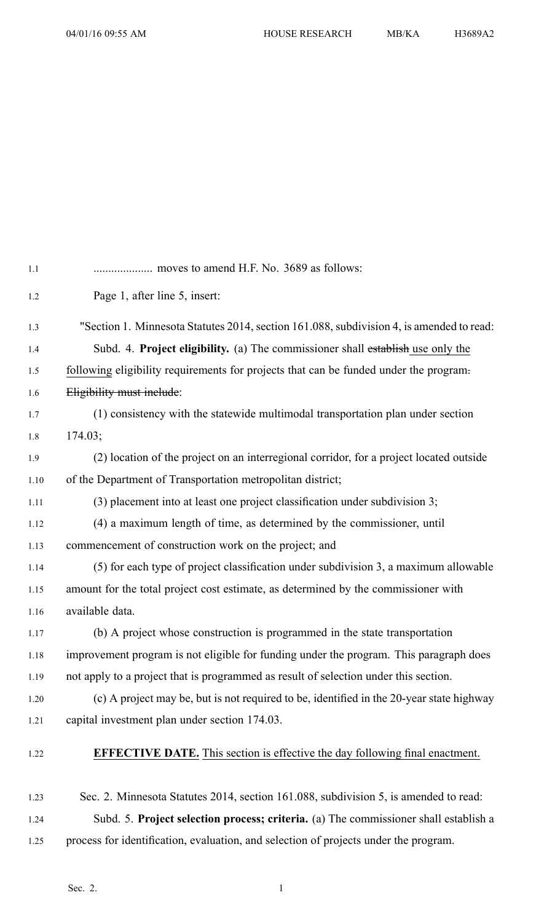| $1.1\,$ |                                                                                          |
|---------|------------------------------------------------------------------------------------------|
| 1.2     | Page 1, after line 5, insert:                                                            |
| 1.3     | "Section 1. Minnesota Statutes 2014, section 161.088, subdivision 4, is amended to read: |
| 1.4     | Subd. 4. Project eligibility. (a) The commissioner shall establish use only the          |
| 1.5     | following eligibility requirements for projects that can be funded under the program-    |
| 1.6     | Eligibility must include:                                                                |
| 1.7     | (1) consistency with the statewide multimodal transportation plan under section          |
| 1.8     | 174.03;                                                                                  |
| 1.9     | (2) location of the project on an interregional corridor, for a project located outside  |
| 1.10    | of the Department of Transportation metropolitan district;                               |
| 1.11    | (3) placement into at least one project classification under subdivision 3;              |
| 1.12    | (4) a maximum length of time, as determined by the commissioner, until                   |
| 1.13    | commencement of construction work on the project; and                                    |
| 1.14    | (5) for each type of project classification under subdivision 3, a maximum allowable     |
| 1.15    | amount for the total project cost estimate, as determined by the commissioner with       |
| 1.16    | available data.                                                                          |
| 1.17    | (b) A project whose construction is programmed in the state transportation               |
| 1.18    | improvement program is not eligible for funding under the program. This paragraph does   |
| 1.19    | not apply to a project that is programmed as result of selection under this section.     |
| 1.20    | (c) A project may be, but is not required to be, identified in the 20-year state highway |
| 1.21    | capital investment plan under section 174.03.                                            |
| 1.22    | <b>EFFECTIVE DATE.</b> This section is effective the day following final enactment.      |
| 1.23    | Sec. 2. Minnesota Statutes 2014, section 161.088, subdivision 5, is amended to read:     |
| 1.24    | Subd. 5. Project selection process; criteria. (a) The commissioner shall establish a     |

1.25 process for identification, evaluation, and selection of projects under the program.